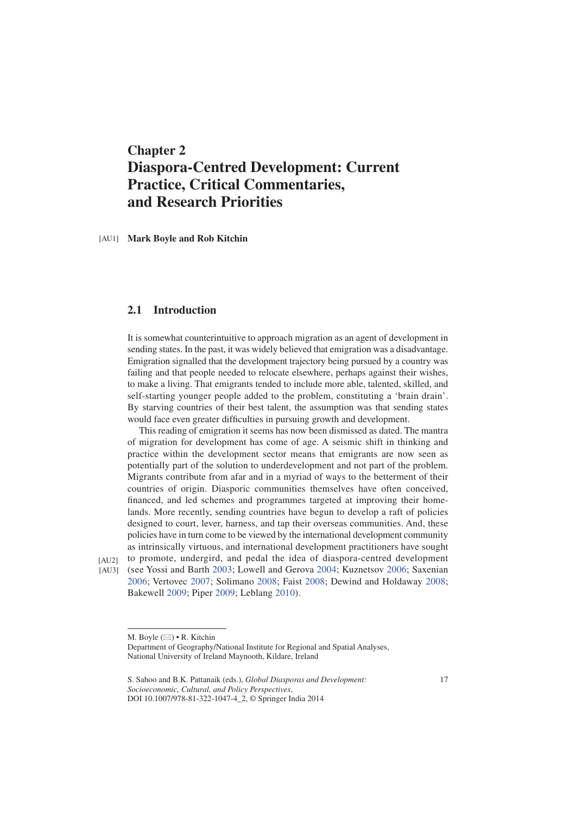# **Chapter 2 Diaspora-Centred Development: Current Practice, Critical Commentaries, and Research Priorities**

[AU1] **Mark Boyle and Rob Kitchin** 

#### **2.1 Introduction**

 It is somewhat counterintuitive to approach migration as an agent of development in sending states. In the past, it was widely believed that emigration was a disadvantage. Emigration signalled that the development trajectory being pursued by a country was failing and that people needed to relocate elsewhere, perhaps against their wishes, to make a living. That emigrants tended to include more able, talented, skilled, and self-starting younger people added to the problem, constituting a 'brain drain'. By starving countries of their best talent, the assumption was that sending states would face even greater difficulties in pursuing growth and development.

 This reading of emigration it seems has now been dismissed as dated. The mantra of migration for development has come of age. A seismic shift in thinking and practice within the development sector means that emigrants are now seen as potentially part of the solution to underdevelopment and not part of the problem. Migrants contribute from afar and in a myriad of ways to the betterment of their countries of origin. Diasporic communities themselves have often conceived, financed, and led schemes and programmes targeted at improving their homelands. More recently, sending countries have begun to develop a raft of policies designed to court, lever, harness, and tap their overseas communities. And, these policies have in turn come to be viewed by the international development community as intrinsically virtuous, and international development practitioners have sought to promote, undergird, and pedal the idea of diaspora-centred development

[AU2]

(see Yossi and Barth 2003; Lowell and Gerova 2004; Kuznetsov 2006; Saxenian 2006; Vertovec 2007; Solimano 2008; Faist 2008; Dewind and Holdaway 2008; Bakewell 2009; Piper 2009; Leblang 2010).  $[AU3]$ 

M. Boyle ( $\boxtimes$ ) • R. Kitchin

Department of Geography/National Institute for Regional and Spatial Analyses, National University of Ireland Maynooth, Kildare, Ireland

S. Sahoo and B.K. Pattanaik (eds.), *Global Diasporas and Development:* 17 *Socioeconomic, Cultural, and Policy Perspectives*, DOI 10.1007/978-81-322-1047-4\_2, © Springer India 2014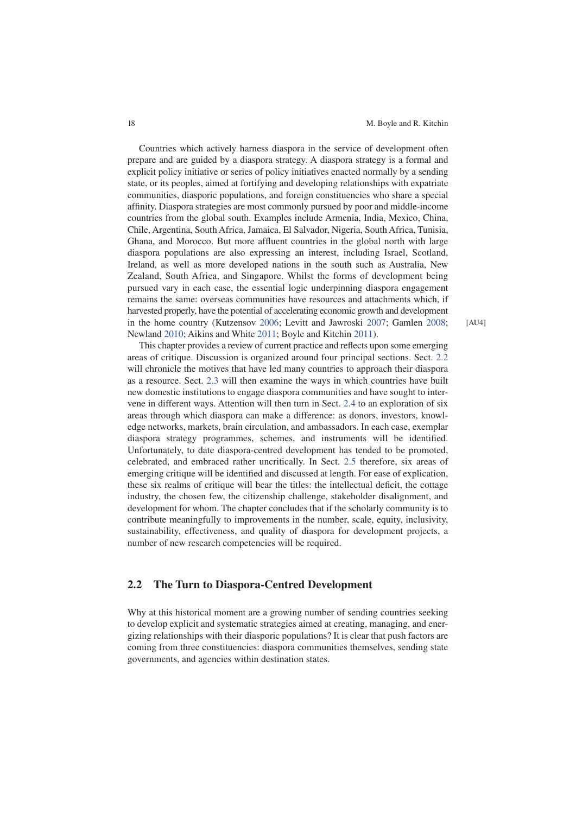$[AL14]$ 

 Countries which actively harness diaspora in the service of development often prepare and are guided by a diaspora strategy. A diaspora strategy is a formal and explicit policy initiative or series of policy initiatives enacted normally by a sending state, or its peoples, aimed at fortifying and developing relationships with expatriate communities, diasporic populations, and foreign constituencies who share a special affinity. Diaspora strategies are most commonly pursued by poor and middle-income countries from the global south. Examples include Armenia, India, Mexico, China, Chile, Argentina, South Africa, Jamaica, El Salvador, Nigeria, South Africa, Tunisia, Ghana, and Morocco. But more affluent countries in the global north with large diaspora populations are also expressing an interest, including Israel, Scotland, Ireland, as well as more developed nations in the south such as Australia, New Zealand, South Africa, and Singapore. Whilst the forms of development being pursued vary in each case, the essential logic underpinning diaspora engagement remains the same: overseas communities have resources and attachments which, if harvested properly, have the potential of accelerating economic growth and development in the home country (Kutzensov 2006; Levitt and Jawroski 2007; Gamlen 2008; Newland 2010; Aikins and White 2011; Boyle and Kitchin 2011).

This chapter provides a review of current practice and reflects upon some emerging areas of critique. Discussion is organized around four principal sections. Sect. 2.2 will chronicle the motives that have led many countries to approach their diaspora as a resource. Sect. 2.3 will then examine the ways in which countries have built new domestic institutions to engage diaspora communities and have sought to intervene in different ways. Attention will then turn in Sect. 2.4 to an exploration of six areas through which diaspora can make a difference: as donors, investors, knowledge networks, markets, brain circulation, and ambassadors. In each case, exemplar diaspora strategy programmes, schemes, and instruments will be identified. Unfortunately, to date diaspora-centred development has tended to be promoted, celebrated, and embraced rather uncritically. In Sect. 2.5 therefore, six areas of emerging critique will be identified and discussed at length. For ease of explication, these six realms of critique will bear the titles: the intellectual deficit, the cottage industry, the chosen few, the citizenship challenge, stakeholder disalignment, and development for whom. The chapter concludes that if the scholarly community is to contribute meaningfully to improvements in the number, scale, equity, inclusivity, sustainability, effectiveness, and quality of diaspora for development projects, a number of new research competencies will be required.

#### **2.2 The Turn to Diaspora-Centred Development**

 Why at this historical moment are a growing number of sending countries seeking to develop explicit and systematic strategies aimed at creating, managing, and energizing relationships with their diasporic populations? It is clear that push factors are coming from three constituencies: diaspora communities themselves, sending state governments, and agencies within destination states.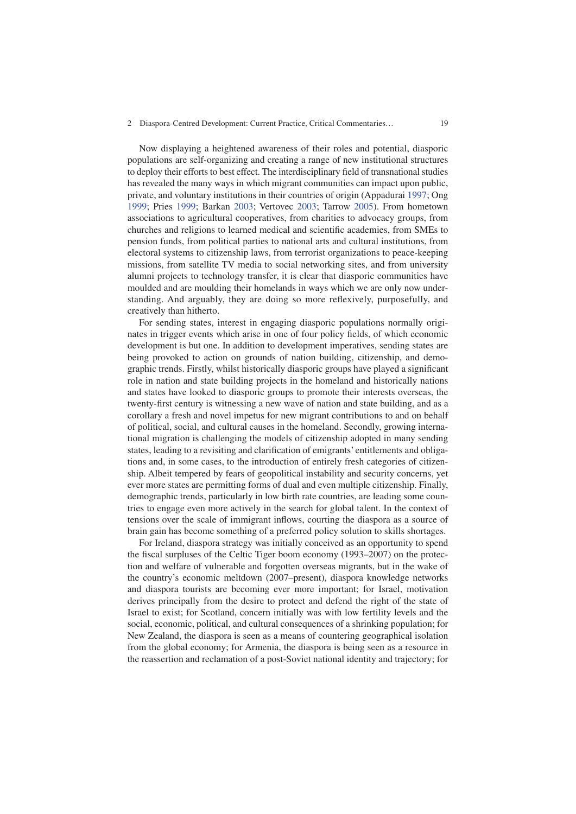#### 2 Diaspora-Centred Development: Current Practice, Critical Commentaries…

 Now displaying a heightened awareness of their roles and potential, diasporic populations are self-organizing and creating a range of new institutional structures to deploy their efforts to best effect. The interdisciplinary field of transnational studies has revealed the many ways in which migrant communities can impact upon public, private, and voluntary institutions in their countries of origin (Appadurai 1997; Ong 1999; Pries 1999; Barkan 2003; Vertovec 2003; Tarrow 2005). From hometown associations to agricultural cooperatives, from charities to advocacy groups, from churches and religions to learned medical and scientific academies, from SMEs to pension funds, from political parties to national arts and cultural institutions, from electoral systems to citizenship laws, from terrorist organizations to peace-keeping missions, from satellite TV media to social networking sites, and from university alumni projects to technology transfer, it is clear that diasporic communities have moulded and are moulding their homelands in ways which we are only now understanding. And arguably, they are doing so more reflexively, purposefully, and creatively than hitherto.

 For sending states, interest in engaging diasporic populations normally originates in trigger events which arise in one of four policy fields, of which economic development is but one. In addition to development imperatives, sending states are being provoked to action on grounds of nation building, citizenship, and demographic trends. Firstly, whilst historically diasporic groups have played a significant role in nation and state building projects in the homeland and historically nations and states have looked to diasporic groups to promote their interests overseas, the twenty-first century is witnessing a new wave of nation and state building, and as a corollary a fresh and novel impetus for new migrant contributions to and on behalf of political, social, and cultural causes in the homeland. Secondly, growing international migration is challenging the models of citizenship adopted in many sending states, leading to a revisiting and clarification of emigrants' entitlements and obligations and, in some cases, to the introduction of entirely fresh categories of citizenship. Albeit tempered by fears of geopolitical instability and security concerns, yet ever more states are permitting forms of dual and even multiple citizenship. Finally, demographic trends, particularly in low birth rate countries, are leading some countries to engage even more actively in the search for global talent. In the context of tensions over the scale of immigrant inflows, courting the diaspora as a source of brain gain has become something of a preferred policy solution to skills shortages.

 For Ireland, diaspora strategy was initially conceived as an opportunity to spend the fiscal surpluses of the Celtic Tiger boom economy (1993–2007) on the protection and welfare of vulnerable and forgotten overseas migrants, but in the wake of the country's economic meltdown (2007–present), diaspora knowledge networks and diaspora tourists are becoming ever more important; for Israel, motivation derives principally from the desire to protect and defend the right of the state of Israel to exist; for Scotland, concern initially was with low fertility levels and the social, economic, political, and cultural consequences of a shrinking population; for New Zealand, the diaspora is seen as a means of countering geographical isolation from the global economy; for Armenia, the diaspora is being seen as a resource in the reassertion and reclamation of a post-Soviet national identity and trajectory; for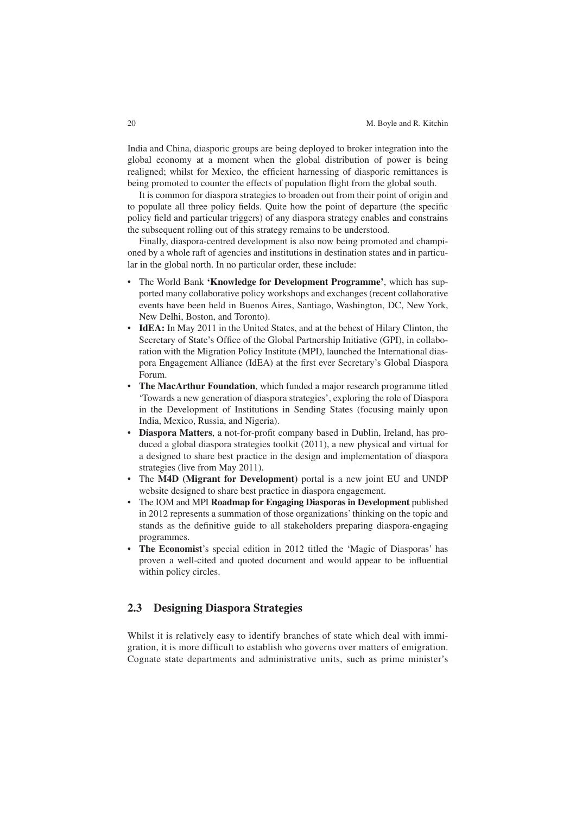India and China, diasporic groups are being deployed to broker integration into the global economy at a moment when the global distribution of power is being realigned; whilst for Mexico, the efficient harnessing of diasporic remittances is being promoted to counter the effects of population flight from the global south.

 It is common for diaspora strategies to broaden out from their point of origin and to populate all three policy fields. Quite how the point of departure (the specific policy fi eld and particular triggers) of any diaspora strategy enables and constrains the subsequent rolling out of this strategy remains to be understood.

 Finally, diaspora-centred development is also now being promoted and championed by a whole raft of agencies and institutions in destination states and in particular in the global north. In no particular order, these include:

- The World Bank **'Knowledge for Development Programme'** , which has supported many collaborative policy workshops and exchanges (recent collaborative events have been held in Buenos Aires, Santiago, Washington, DC, New York, New Delhi, Boston, and Toronto).
- **IdEA:** In May 2011 in the United States, and at the behest of Hilary Clinton, the Secretary of State's Office of the Global Partnership Initiative (GPI), in collaboration with the Migration Policy Institute (MPI), launched the International diaspora Engagement Alliance (IdEA) at the first ever Secretary's Global Diaspora Forum.
- **The MacArthur Foundation**, which funded a major research programme titled 'Towards a new generation of diaspora strategies', exploring the role of Diaspora in the Development of Institutions in Sending States (focusing mainly upon India, Mexico, Russia, and Nigeria).
- **Diaspora Matters** , a not-for-profi t company based in Dublin, Ireland, has produced a global diaspora strategies toolkit (2011), a new physical and virtual for a designed to share best practice in the design and implementation of diaspora strategies (live from May 2011).
- The **M4D (Migrant for Development)** portal is a new joint EU and UNDP website designed to share best practice in diaspora engagement.
- The IOM and MPI **Roadmap for Engaging Diasporas in Development** published in 2012 represents a summation of those organizations' thinking on the topic and stands as the definitive guide to all stakeholders preparing diaspora-engaging programmes.
- **The Economist's special edition in 2012 titled the 'Magic of Diasporas' has** proven a well-cited and quoted document and would appear to be influential within policy circles.

# **2.3 Designing Diaspora Strategies**

 Whilst it is relatively easy to identify branches of state which deal with immigration, it is more difficult to establish who governs over matters of emigration. Cognate state departments and administrative units, such as prime minister's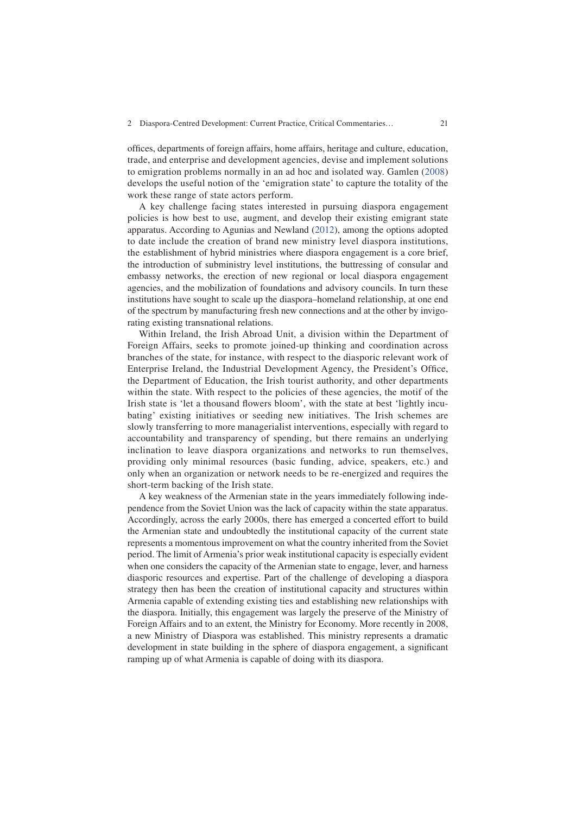offices, departments of foreign affairs, home affairs, heritage and culture, education, trade, and enterprise and development agencies, devise and implement solutions to emigration problems normally in an ad hoc and isolated way. Gamlen (2008) develops the useful notion of the 'emigration state' to capture the totality of the work these range of state actors perform.

 A key challenge facing states interested in pursuing diaspora engagement policies is how best to use, augment, and develop their existing emigrant state apparatus. According to Agunias and Newland ( 2012 ), among the options adopted to date include the creation of brand new ministry level diaspora institutions, the establishment of hybrid ministries where diaspora engagement is a core brief, the introduction of subministry level institutions, the buttressing of consular and embassy networks, the erection of new regional or local diaspora engagement agencies, and the mobilization of foundations and advisory councils. In turn these institutions have sought to scale up the diaspora–homeland relationship, at one end of the spectrum by manufacturing fresh new connections and at the other by invigorating existing transnational relations.

 Within Ireland, the Irish Abroad Unit, a division within the Department of Foreign Affairs, seeks to promote joined-up thinking and coordination across branches of the state, for instance, with respect to the diasporic relevant work of Enterprise Ireland, the Industrial Development Agency, the President's Office, the Department of Education, the Irish tourist authority, and other departments within the state. With respect to the policies of these agencies, the motif of the Irish state is 'let a thousand flowers bloom', with the state at best 'lightly incubating' existing initiatives or seeding new initiatives. The Irish schemes are slowly transferring to more managerialist interventions, especially with regard to accountability and transparency of spending, but there remains an underlying inclination to leave diaspora organizations and networks to run themselves, providing only minimal resources (basic funding, advice, speakers, etc.) and only when an organization or network needs to be re-energized and requires the short-term backing of the Irish state.

 A key weakness of the Armenian state in the years immediately following independence from the Soviet Union was the lack of capacity within the state apparatus. Accordingly, across the early 2000s, there has emerged a concerted effort to build the Armenian state and undoubtedly the institutional capacity of the current state represents a momentous improvement on what the country inherited from the Soviet period. The limit of Armenia's prior weak institutional capacity is especially evident when one considers the capacity of the Armenian state to engage, lever, and harness diasporic resources and expertise. Part of the challenge of developing a diaspora strategy then has been the creation of institutional capacity and structures within Armenia capable of extending existing ties and establishing new relationships with the diaspora. Initially, this engagement was largely the preserve of the Ministry of Foreign Affairs and to an extent, the Ministry for Economy. More recently in 2008, a new Ministry of Diaspora was established. This ministry represents a dramatic development in state building in the sphere of diaspora engagement, a significant ramping up of what Armenia is capable of doing with its diaspora.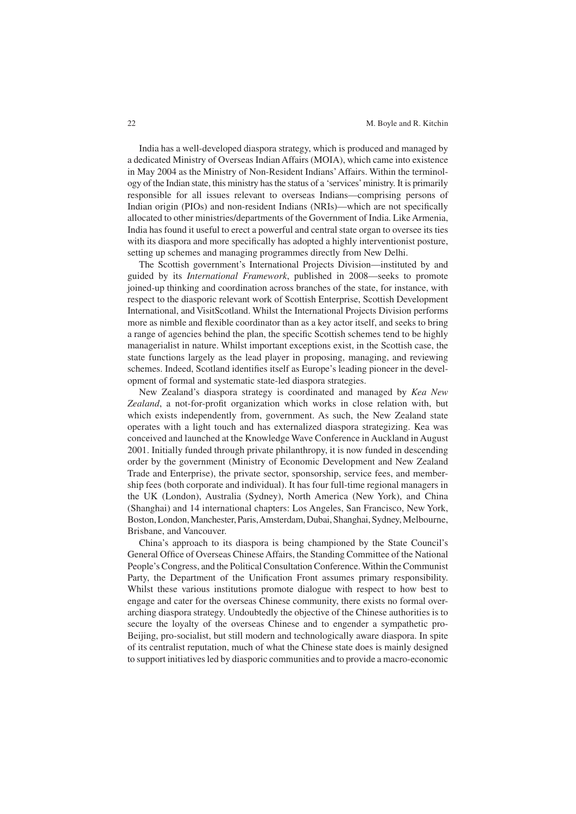India has a well-developed diaspora strategy, which is produced and managed by a dedicated Ministry of Overseas Indian Affairs (MOIA), which came into existence in May 2004 as the Ministry of Non-Resident Indians' Affairs. Within the terminology of the Indian state, this ministry has the status of a 'services' ministry. It is primarily responsible for all issues relevant to overseas Indians—comprising persons of Indian origin (PIOs) and non-resident Indians (NRIs)—which are not specifically allocated to other ministries/departments of the Government of India. Like Armenia, India has found it useful to erect a powerful and central state organ to oversee its ties with its diaspora and more specifically has adopted a highly interventionist posture. setting up schemes and managing programmes directly from New Delhi.

 The Scottish government's International Projects Division—instituted by and guided by its *International Framework* , published in 2008—seeks to promote joined-up thinking and coordination across branches of the state, for instance, with respect to the diasporic relevant work of Scottish Enterprise, Scottish Development International, and VisitScotland. Whilst the International Projects Division performs more as nimble and flexible coordinator than as a key actor itself, and seeks to bring a range of agencies behind the plan, the specific Scottish schemes tend to be highly managerialist in nature. Whilst important exceptions exist, in the Scottish case, the state functions largely as the lead player in proposing, managing, and reviewing schemes. Indeed, Scotland identifies itself as Europe's leading pioneer in the development of formal and systematic state-led diaspora strategies.

 New Zealand's diaspora strategy is coordinated and managed by *Kea New Zealand*, a not-for-profit organization which works in close relation with, but which exists independently from, government. As such, the New Zealand state operates with a light touch and has externalized diaspora strategizing. Kea was conceived and launched at the Knowledge Wave Conference in Auckland in August 2001. Initially funded through private philanthropy, it is now funded in descending order by the government (Ministry of Economic Development and New Zealand Trade and Enterprise), the private sector, sponsorship, service fees, and membership fees (both corporate and individual). It has four full-time regional managers in the UK (London), Australia (Sydney), North America (New York), and China (Shanghai) and 14 international chapters: Los Angeles, San Francisco, New York, Boston, London, Manchester, Paris, Amsterdam, Dubai, Shanghai, Sydney, Melbourne, Brisbane, and Vancouver.

 China's approach to its diaspora is being championed by the State Council's General Office of Overseas Chinese Affairs, the Standing Committee of the National People's Congress, and the Political Consultation Conference. Within the Communist Party, the Department of the Unification Front assumes primary responsibility. Whilst these various institutions promote dialogue with respect to how best to engage and cater for the overseas Chinese community, there exists no formal overarching diaspora strategy. Undoubtedly the objective of the Chinese authorities is to secure the loyalty of the overseas Chinese and to engender a sympathetic pro-Beijing, pro-socialist, but still modern and technologically aware diaspora. In spite of its centralist reputation, much of what the Chinese state does is mainly designed to support initiatives led by diasporic communities and to provide a macro- economic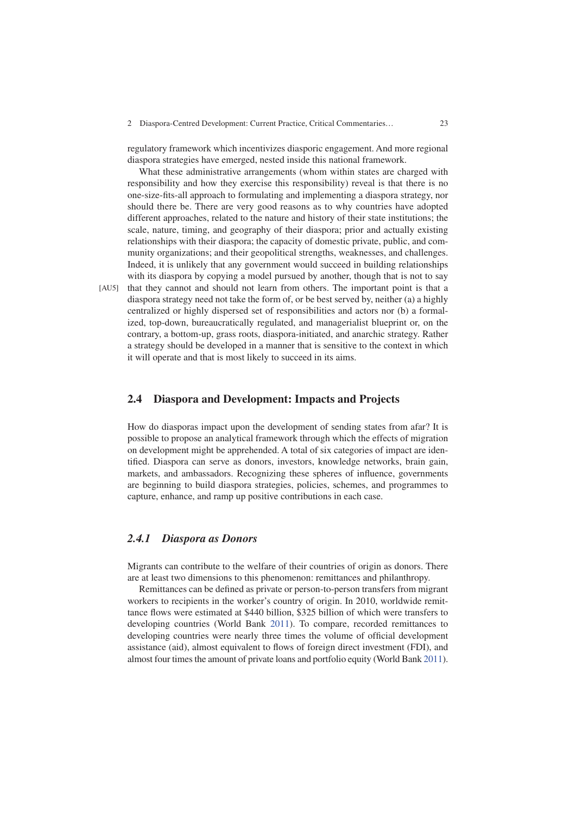regulatory framework which incentivizes diasporic engagement. And more regional diaspora strategies have emerged, nested inside this national framework.

 What these administrative arrangements (whom within states are charged with responsibility and how they exercise this responsibility) reveal is that there is no one-size-fi ts-all approach to formulating and implementing a diaspora strategy, nor should there be. There are very good reasons as to why countries have adopted different approaches, related to the nature and history of their state institutions; the scale, nature, timing, and geography of their diaspora; prior and actually existing relationships with their diaspora; the capacity of domestic private, public, and community organizations; and their geopolitical strengths, weaknesses, and challenges. Indeed, it is unlikely that any government would succeed in building relationships with its diaspora by copying a model pursued by another, though that is not to say

[AU5] that they cannot and should not learn from others. The important point is that a diaspora strategy need not take the form of, or be best served by, neither (a) a highly centralized or highly dispersed set of responsibilities and actors nor (b) a formalized, top-down, bureaucratically regulated, and managerialist blueprint or, on the contrary, a bottom-up, grass roots, diaspora-initiated, and anarchic strategy. Rather a strategy should be developed in a manner that is sensitive to the context in which it will operate and that is most likely to succeed in its aims.

#### **2.4 Diaspora and Development: Impacts and Projects**

 How do diasporas impact upon the development of sending states from afar? It is possible to propose an analytical framework through which the effects of migration on development might be apprehended. A total of six categories of impact are identified. Diaspora can serve as donors, investors, knowledge networks, brain gain, markets, and ambassadors. Recognizing these spheres of influence, governments are beginning to build diaspora strategies, policies, schemes, and programmes to capture, enhance, and ramp up positive contributions in each case.

#### *2.4.1 Diaspora as Donors*

 Migrants can contribute to the welfare of their countries of origin as donors. There are at least two dimensions to this phenomenon: remittances and philanthropy.

Remittances can be defined as private or person-to-person transfers from migrant workers to recipients in the worker's country of origin. In 2010, worldwide remittance flows were estimated at \$440 billion, \$325 billion of which were transfers to developing countries (World Bank 2011). To compare, recorded remittances to developing countries were nearly three times the volume of official development assistance (aid), almost equivalent to flows of foreign direct investment (FDI), and almost four times the amount of private loans and portfolio equity (World Bank 2011 ).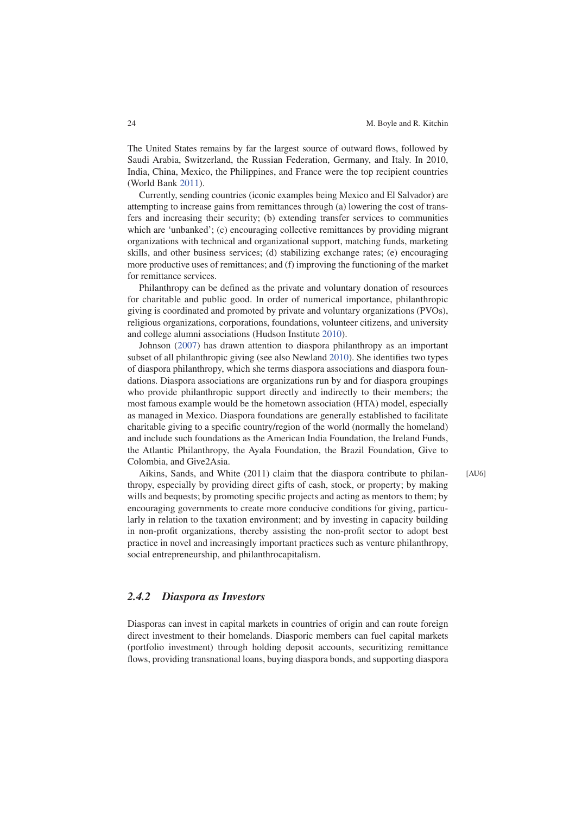The United States remains by far the largest source of outward flows, followed by Saudi Arabia, Switzerland, the Russian Federation, Germany, and Italy. In 2010, India, China, Mexico, the Philippines, and France were the top recipient countries (World Bank 2011).

 Currently, sending countries (iconic examples being Mexico and El Salvador) are attempting to increase gains from remittances through (a) lowering the cost of transfers and increasing their security; (b) extending transfer services to communities which are 'unbanked'; (c) encouraging collective remittances by providing migrant organizations with technical and organizational support, matching funds, marketing skills, and other business services; (d) stabilizing exchange rates; (e) encouraging more productive uses of remittances; and (f) improving the functioning of the market for remittance services.

Philanthropy can be defined as the private and voluntary donation of resources for charitable and public good. In order of numerical importance, philanthropic giving is coordinated and promoted by private and voluntary organizations (PVOs), religious organizations, corporations, foundations, volunteer citizens, and university and college alumni associations (Hudson Institute 2010).

Johnson (2007) has drawn attention to diaspora philanthropy as an important subset of all philanthropic giving (see also Newland  $2010$ ). She identifies two types of diaspora philanthropy, which she terms diaspora associations and diaspora foundations. Diaspora associations are organizations run by and for diaspora groupings who provide philanthropic support directly and indirectly to their members; the most famous example would be the hometown association (HTA) model, especially as managed in Mexico. Diaspora foundations are generally established to facilitate charitable giving to a specific country/region of the world (normally the homeland) and include such foundations as the American India Foundation, the Ireland Funds, the Atlantic Philanthropy, the Ayala Foundation, the Brazil Foundation, Give to Colombia, and Give2Asia.

[AU6]

Aikins, Sands, and White (2011) claim that the diaspora contribute to philanthropy, especially by providing direct gifts of cash, stock, or property; by making wills and bequests; by promoting specific projects and acting as mentors to them; by encouraging governments to create more conducive conditions for giving, particularly in relation to the taxation environment; and by investing in capacity building in non-profit organizations, thereby assisting the non-profit sector to adopt best practice in novel and increasingly important practices such as venture philanthropy, social entrepreneurship, and philanthrocapitalism.

#### *2.4.2 Diaspora as Investors*

 Diasporas can invest in capital markets in countries of origin and can route foreign direct investment to their homelands. Diasporic members can fuel capital markets (portfolio investment) through holding deposit accounts, securitizing remittance flows, providing transnational loans, buying diaspora bonds, and supporting diaspora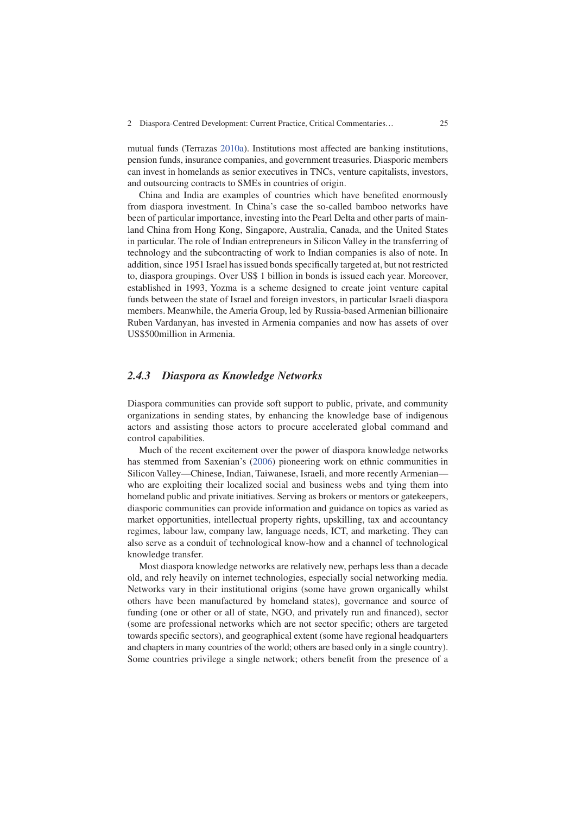mutual funds (Terrazas 2010a). Institutions most affected are banking institutions, pension funds, insurance companies, and government treasuries. Diasporic members can invest in homelands as senior executives in TNCs, venture capitalists, investors, and outsourcing contracts to SMEs in countries of origin.

China and India are examples of countries which have benefited enormously from diaspora investment. In China's case the so-called bamboo networks have been of particular importance, investing into the Pearl Delta and other parts of mainland China from Hong Kong, Singapore, Australia, Canada, and the United States in particular. The role of Indian entrepreneurs in Silicon Valley in the transferring of technology and the subcontracting of work to Indian companies is also of note. In addition, since 1951 Israel has issued bonds specifically targeted at, but not restricted to, diaspora groupings. Over US\$ 1 billion in bonds is issued each year. Moreover, established in 1993, Yozma is a scheme designed to create joint venture capital funds between the state of Israel and foreign investors, in particular Israeli diaspora members. Meanwhile, the Ameria Group, led by Russia-based Armenian billionaire Ruben Vardanyan, has invested in Armenia companies and now has assets of over US\$500million in Armenia.

#### *2.4.3 Diaspora as Knowledge Networks*

 Diaspora communities can provide soft support to public, private, and community organizations in sending states, by enhancing the knowledge base of indigenous actors and assisting those actors to procure accelerated global command and control capabilities.

 Much of the recent excitement over the power of diaspora knowledge networks has stemmed from Saxenian's (2006) pioneering work on ethnic communities in Silicon Valley—Chinese, Indian, Taiwanese, Israeli, and more recently Armenian who are exploiting their localized social and business webs and tying them into homeland public and private initiatives. Serving as brokers or mentors or gatekeepers, diasporic communities can provide information and guidance on topics as varied as market opportunities, intellectual property rights, upskilling, tax and accountancy regimes, labour law, company law, language needs, ICT, and marketing. They can also serve as a conduit of technological know-how and a channel of technological knowledge transfer.

 Most diaspora knowledge networks are relatively new, perhaps less than a decade old, and rely heavily on internet technologies, especially social networking media. Networks vary in their institutional origins (some have grown organically whilst others have been manufactured by homeland states), governance and source of funding (one or other or all of state, NGO, and privately run and financed), sector (some are professional networks which are not sector specific; others are targeted towards specific sectors), and geographical extent (some have regional headquarters and chapters in many countries of the world; others are based only in a single country). Some countries privilege a single network; others benefit from the presence of a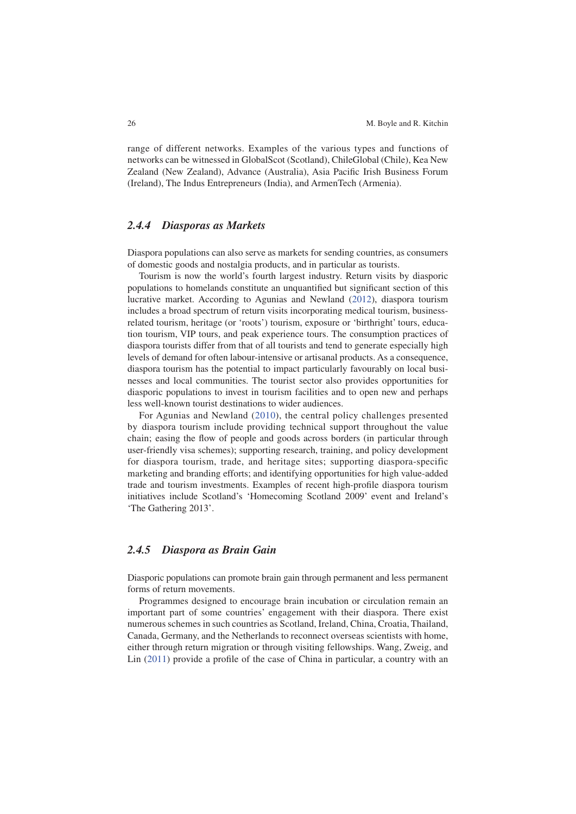range of different networks. Examples of the various types and functions of networks can be witnessed in GlobalScot (Scotland), ChileGlobal (Chile), Kea New Zealand (New Zealand), Advance (Australia), Asia Pacific Irish Business Forum (Ireland), The Indus Entrepreneurs (India), and ArmenTech (Armenia).

#### *2.4.4 Diasporas as Markets*

 Diaspora populations can also serve as markets for sending countries, as consumers of domestic goods and nostalgia products, and in particular as tourists.

 Tourism is now the world's fourth largest industry. Return visits by diasporic populations to homelands constitute an unquantified but significant section of this lucrative market. According to Agunias and Newland (2012), diaspora tourism includes a broad spectrum of return visits incorporating medical tourism, businessrelated tourism, heritage (or 'roots') tourism, exposure or 'birthright' tours, education tourism, VIP tours, and peak experience tours. The consumption practices of diaspora tourists differ from that of all tourists and tend to generate especially high levels of demand for often labour-intensive or artisanal products. As a consequence, diaspora tourism has the potential to impact particularly favourably on local businesses and local communities. The tourist sector also provides opportunities for diasporic populations to invest in tourism facilities and to open new and perhaps less well-known tourist destinations to wider audiences.

For Agunias and Newland (2010), the central policy challenges presented by diaspora tourism include providing technical support throughout the value chain; easing the flow of people and goods across borders (in particular through user- friendly visa schemes); supporting research, training, and policy development for diaspora tourism, trade, and heritage sites; supporting diaspora-specific marketing and branding efforts; and identifying opportunities for high value-added trade and tourism investments. Examples of recent high-profile diaspora tourism initiatives include Scotland's 'Homecoming Scotland 2009' event and Ireland's 'The Gathering 2013'.

## *2.4.5 Diaspora as Brain Gain*

 Diasporic populations can promote brain gain through permanent and less permanent forms of return movements.

 Programmes designed to encourage brain incubation or circulation remain an important part of some countries' engagement with their diaspora. There exist numerous schemes in such countries as Scotland, Ireland, China, Croatia, Thailand, Canada, Germany, and the Netherlands to reconnect overseas scientists with home, either through return migration or through visiting fellowships. Wang, Zweig, and Lin  $(2011)$  provide a profile of the case of China in particular, a country with an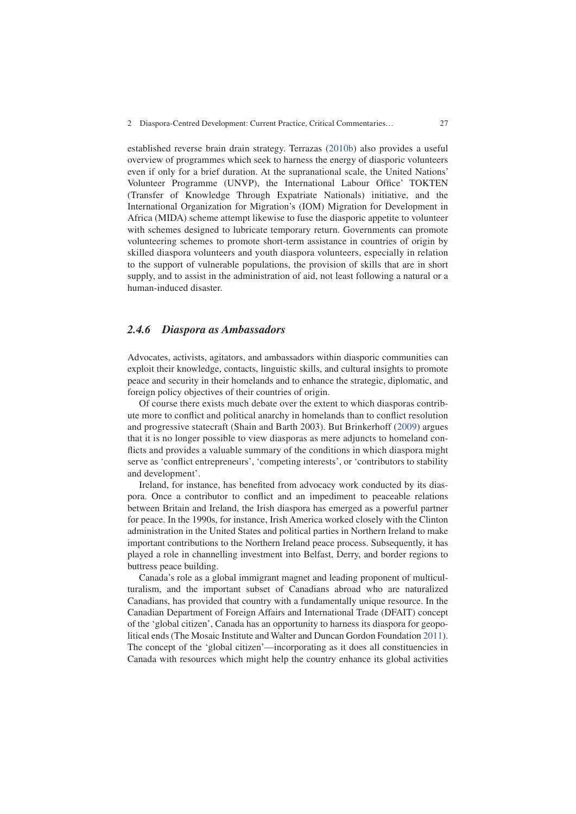established reverse brain drain strategy. Terrazas (2010b) also provides a useful overview of programmes which seek to harness the energy of diasporic volunteers even if only for a brief duration. At the supranational scale, the United Nations' Volunteer Programme (UNVP), the International Labour Office' TOKTEN (Transfer of Knowledge Through Expatriate Nationals) initiative, and the International Organization for Migration's (IOM) Migration for Development in Africa (MIDA) scheme attempt likewise to fuse the diasporic appetite to volunteer with schemes designed to lubricate temporary return. Governments can promote volunteering schemes to promote short-term assistance in countries of origin by skilled diaspora volunteers and youth diaspora volunteers, especially in relation to the support of vulnerable populations, the provision of skills that are in short supply, and to assist in the administration of aid, not least following a natural or a human-induced disaster.

#### *2.4.6 Diaspora as Ambassadors*

 Advocates, activists, agitators, and ambassadors within diasporic communities can exploit their knowledge, contacts, linguistic skills, and cultural insights to promote peace and security in their homelands and to enhance the strategic, diplomatic, and foreign policy objectives of their countries of origin.

 Of course there exists much debate over the extent to which diasporas contribute more to conflict and political anarchy in homelands than to conflict resolution and progressive statecraft (Shain and Barth 2003). But Brinkerhoff (2009) argues that it is no longer possible to view diasporas as mere adjuncts to homeland conflicts and provides a valuable summary of the conditions in which diaspora might serve as 'conflict entrepreneurs', 'competing interests', or 'contributors to stability and development'.

Ireland, for instance, has benefited from advocacy work conducted by its diaspora. Once a contributor to conflict and an impediment to peaceable relations between Britain and Ireland, the Irish diaspora has emerged as a powerful partner for peace. In the 1990s, for instance, Irish America worked closely with the Clinton administration in the United States and political parties in Northern Ireland to make important contributions to the Northern Ireland peace process. Subsequently, it has played a role in channelling investment into Belfast, Derry, and border regions to buttress peace building.

 Canada's role as a global immigrant magnet and leading proponent of multiculturalism, and the important subset of Canadians abroad who are naturalized Canadians, has provided that country with a fundamentally unique resource. In the Canadian Department of Foreign Affairs and International Trade (DFAIT) concept of the 'global citizen', Canada has an opportunity to harness its diaspora for geopolitical ends (The Mosaic Institute and Walter and Duncan Gordon Foundation 2011 ). The concept of the 'global citizen'—incorporating as it does all constituencies in Canada with resources which might help the country enhance its global activities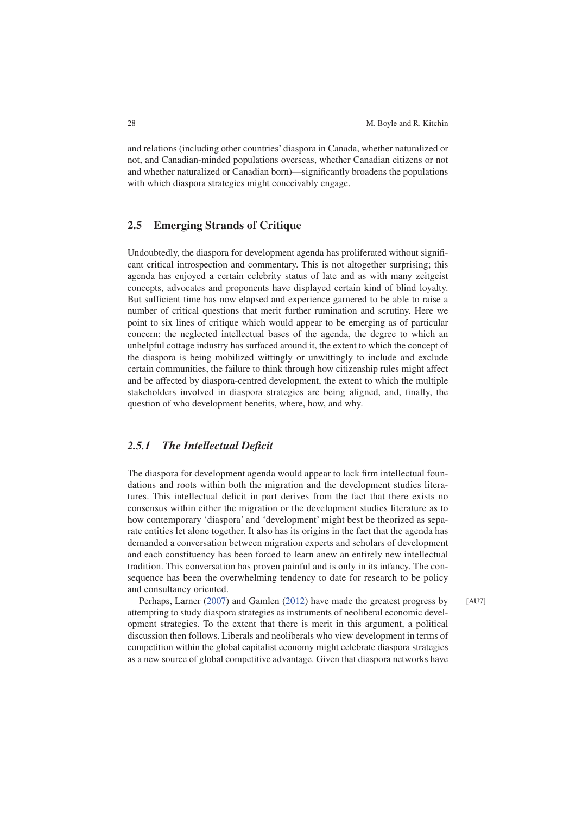and relations (including other countries' diaspora in Canada, whether naturalized or not, and Canadian-minded populations overseas, whether Canadian citizens or not and whether naturalized or Canadian born)—significantly broadens the populations with which diaspora strategies might conceivably engage.

## **2.5 Emerging Strands of Critique**

Undoubtedly, the diaspora for development agenda has proliferated without significant critical introspection and commentary. This is not altogether surprising; this agenda has enjoyed a certain celebrity status of late and as with many zeitgeist concepts, advocates and proponents have displayed certain kind of blind loyalty. But sufficient time has now elapsed and experience garnered to be able to raise a number of critical questions that merit further rumination and scrutiny. Here we point to six lines of critique which would appear to be emerging as of particular concern: the neglected intellectual bases of the agenda, the degree to which an unhelpful cottage industry has surfaced around it, the extent to which the concept of the diaspora is being mobilized wittingly or unwittingly to include and exclude certain communities, the failure to think through how citizenship rules might affect and be affected by diaspora-centred development, the extent to which the multiple stakeholders involved in diaspora strategies are being aligned, and, finally, the question of who development benefits, where, how, and why.

#### 2.5.1 The Intellectual Deficit

The diaspora for development agenda would appear to lack firm intellectual foundations and roots within both the migration and the development studies literatures. This intellectual deficit in part derives from the fact that there exists no consensus within either the migration or the development studies literature as to how contemporary 'diaspora' and 'development' might best be theorized as separate entities let alone together. It also has its origins in the fact that the agenda has demanded a conversation between migration experts and scholars of development and each constituency has been forced to learn anew an entirely new intellectual tradition. This conversation has proven painful and is only in its infancy. The consequence has been the overwhelming tendency to date for research to be policy and consultancy oriented.

[AU7]

Perhaps, Larner  $(2007)$  and Gamlen  $(2012)$  have made the greatest progress by attempting to study diaspora strategies as instruments of neoliberal economic development strategies. To the extent that there is merit in this argument, a political discussion then follows. Liberals and neoliberals who view development in terms of competition within the global capitalist economy might celebrate diaspora strategies as a new source of global competitive advantage. Given that diaspora networks have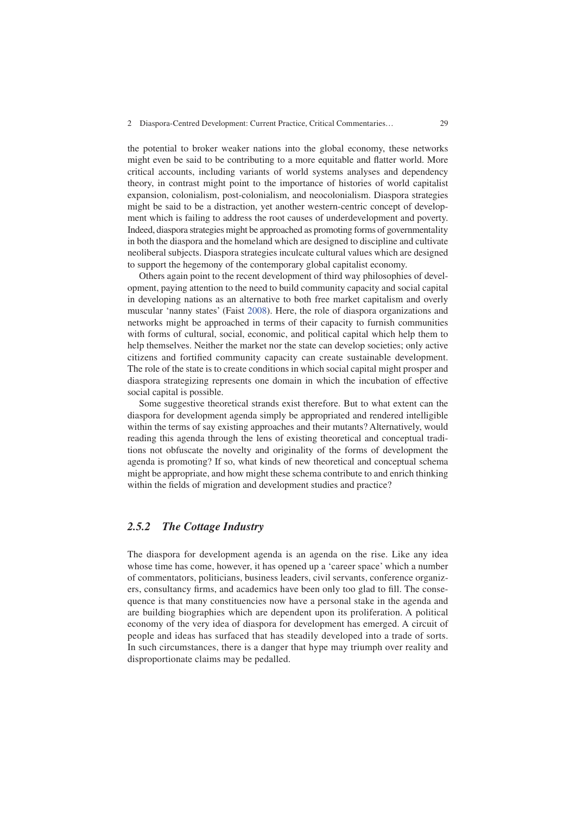the potential to broker weaker nations into the global economy, these networks might even be said to be contributing to a more equitable and flatter world. More critical accounts, including variants of world systems analyses and dependency theory, in contrast might point to the importance of histories of world capitalist expansion, colonialism, post-colonialism, and neocolonialism. Diaspora strategies might be said to be a distraction, yet another western-centric concept of development which is failing to address the root causes of underdevelopment and poverty. Indeed, diaspora strategies might be approached as promoting forms of governmentality in both the diaspora and the homeland which are designed to discipline and cultivate neoliberal subjects. Diaspora strategies inculcate cultural values which are designed to support the hegemony of the contemporary global capitalist economy.

 Others again point to the recent development of third way philosophies of development, paying attention to the need to build community capacity and social capital in developing nations as an alternative to both free market capitalism and overly muscular 'nanny states' (Faist 2008). Here, the role of diaspora organizations and networks might be approached in terms of their capacity to furnish communities with forms of cultural, social, economic, and political capital which help them to help themselves. Neither the market nor the state can develop societies; only active citizens and fortified community capacity can create sustainable development. The role of the state is to create conditions in which social capital might prosper and diaspora strategizing represents one domain in which the incubation of effective social capital is possible.

 Some suggestive theoretical strands exist therefore. But to what extent can the diaspora for development agenda simply be appropriated and rendered intelligible within the terms of say existing approaches and their mutants? Alternatively, would reading this agenda through the lens of existing theoretical and conceptual traditions not obfuscate the novelty and originality of the forms of development the agenda is promoting? If so, what kinds of new theoretical and conceptual schema might be appropriate, and how might these schema contribute to and enrich thinking within the fields of migration and development studies and practice?

# *2.5.2 The Cottage Industry*

 The diaspora for development agenda is an agenda on the rise. Like any idea whose time has come, however, it has opened up a 'career space' which a number of commentators, politicians, business leaders, civil servants, conference organizers, consultancy firms, and academics have been only too glad to fill. The consequence is that many constituencies now have a personal stake in the agenda and are building biographies which are dependent upon its proliferation. A political economy of the very idea of diaspora for development has emerged. A circuit of people and ideas has surfaced that has steadily developed into a trade of sorts. In such circumstances, there is a danger that hype may triumph over reality and disproportionate claims may be pedalled.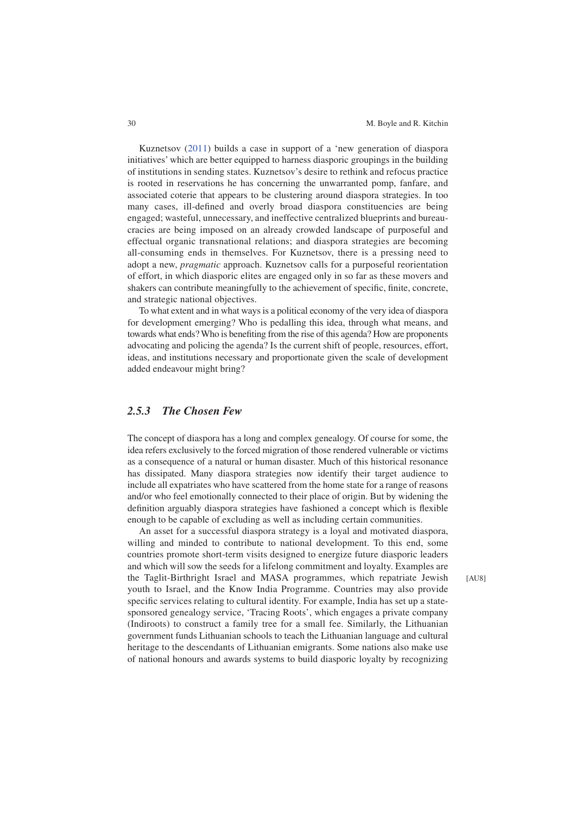Kuznetsov (2011) builds a case in support of a 'new generation of diaspora initiatives' which are better equipped to harness diasporic groupings in the building of institutions in sending states. Kuznetsov's desire to rethink and refocus practice is rooted in reservations he has concerning the unwarranted pomp, fanfare, and associated coterie that appears to be clustering around diaspora strategies. In too many cases, ill-defined and overly broad diaspora constituencies are being engaged; wasteful, unnecessary, and ineffective centralized blueprints and bureaucracies are being imposed on an already crowded landscape of purposeful and effectual organic transnational relations; and diaspora strategies are becoming all-consuming ends in themselves. For Kuznetsov, there is a pressing need to adopt a new, *pragmatic* approach. Kuznetsov calls for a purposeful reorientation of effort, in which diasporic elites are engaged only in so far as these movers and shakers can contribute meaningfully to the achievement of specific, finite, concrete, and strategic national objectives.

 To what extent and in what ways is a political economy of the very idea of diaspora for development emerging? Who is pedalling this idea, through what means, and towards what ends? Who is benefiting from the rise of this agenda? How are proponents advocating and policing the agenda? Is the current shift of people, resources, effort, ideas, and institutions necessary and proportionate given the scale of development added endeavour might bring?

# *2.5.3 The Chosen Few*

 The concept of diaspora has a long and complex genealogy. Of course for some, the idea refers exclusively to the forced migration of those rendered vulnerable or victims as a consequence of a natural or human disaster. Much of this historical resonance has dissipated. Many diaspora strategies now identify their target audience to include all expatriates who have scattered from the home state for a range of reasons and/or who feel emotionally connected to their place of origin. But by widening the definition arguably diaspora strategies have fashioned a concept which is flexible enough to be capable of excluding as well as including certain communities.

 An asset for a successful diaspora strategy is a loyal and motivated diaspora, willing and minded to contribute to national development. To this end, some countries promote short-term visits designed to energize future diasporic leaders and which will sow the seeds for a lifelong commitment and loyalty. Examples are the Taglit-Birthright Israel and MASA programmes, which repatriate Jewish youth to Israel, and the Know India Programme. Countries may also provide specific services relating to cultural identity. For example, India has set up a statesponsored genealogy service, 'Tracing Roots', which engages a private company (Indiroots) to construct a family tree for a small fee. Similarly, the Lithuanian government funds Lithuanian schools to teach the Lithuanian language and cultural heritage to the descendants of Lithuanian emigrants. Some nations also make use of national honours and awards systems to build diasporic loyalty by recognizing

[AU8]

30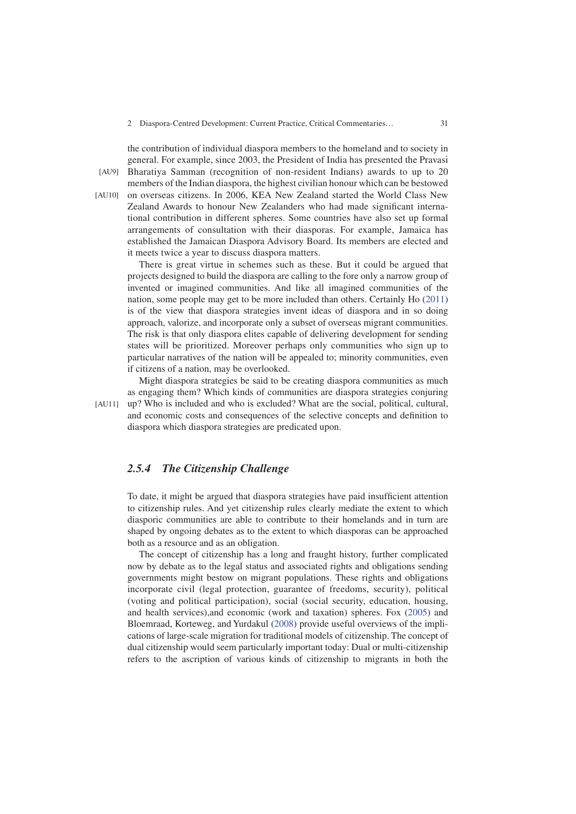the contribution of individual diaspora members to the homeland and to society in general. For example, since 2003, the President of India has presented the Pravasi [AU9] Bharatiya Samman (recognition of non-resident Indians) awards to up to 20

members of the Indian diaspora, the highest civilian honour which can be bestowed on overseas citizens. In 2006, KEA New Zealand started the World Class New Zealand Awards to honour New Zealanders who had made significant international contribution in different spheres. Some countries have also set up formal arrangements of consultation with their diasporas. For example, Jamaica has established the Jamaican Diaspora Advisory Board. Its members are elected and it meets twice a year to discuss diaspora matters. [AU10]

 There is great virtue in schemes such as these. But it could be argued that projects designed to build the diaspora are calling to the fore only a narrow group of invented or imagined communities. And like all imagined communities of the nation, some people may get to be more included than others. Certainly Ho (2011) is of the view that diaspora strategies invent ideas of diaspora and in so doing approach, valorize, and incorporate only a subset of overseas migrant communities. The risk is that only diaspora elites capable of delivering development for sending states will be prioritized. Moreover perhaps only communities who sign up to particular narratives of the nation will be appealed to; minority communities, even if citizens of a nation, may be overlooked.

 Might diaspora strategies be said to be creating diaspora communities as much as engaging them? Which kinds of communities are diaspora strategies conjuring [AU11] up? Who is included and who is excluded? What are the social, political, cultural, and economic costs and consequences of the selective concepts and definition to diaspora which diaspora strategies are predicated upon.

## *2.5.4 The Citizenship Challenge*

To date, it might be argued that diaspora strategies have paid insufficient attention to citizenship rules. And yet citizenship rules clearly mediate the extent to which diasporic communities are able to contribute to their homelands and in turn are shaped by ongoing debates as to the extent to which diasporas can be approached both as a resource and as an obligation.

 The concept of citizenship has a long and fraught history, further complicated now by debate as to the legal status and associated rights and obligations sending governments might bestow on migrant populations. These rights and obligations incorporate civil (legal protection, guarantee of freedoms, security), political (voting and political participation), social (social security, education, housing, and health services),and economic (work and taxation) spheres. Fox (2005) and Bloemraad, Korteweg, and Yurdakul ( 2008 ) provide useful overviews of the implications of large-scale migration for traditional models of citizenship. The concept of dual citizenship would seem particularly important today: Dual or multi-citizenship refers to the ascription of various kinds of citizenship to migrants in both the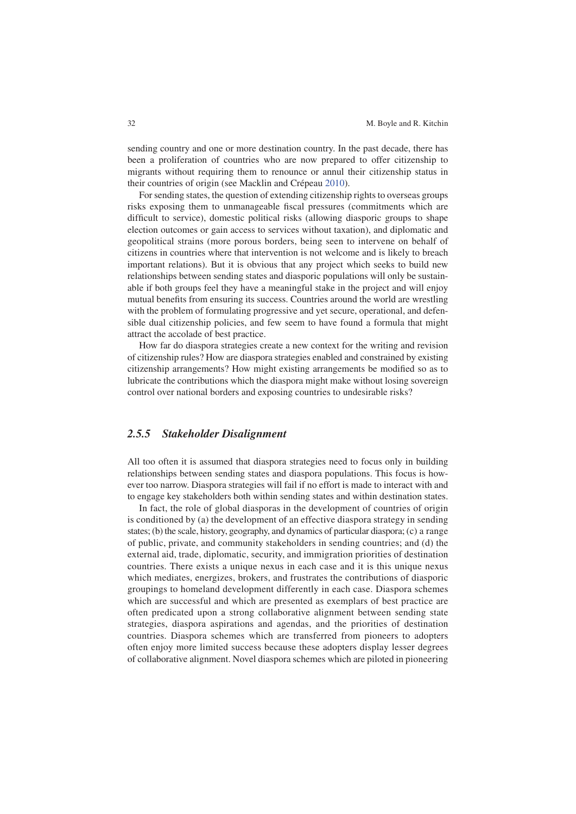sending country and one or more destination country. In the past decade, there has been a proliferation of countries who are now prepared to offer citizenship to migrants without requiring them to renounce or annul their citizenship status in their countries of origin (see Macklin and Crépeau 2010).

 For sending states, the question of extending citizenship rights to overseas groups risks exposing them to unmanageable fiscal pressures (commitments which are difficult to service), domestic political risks (allowing diasporic groups to shape election outcomes or gain access to services without taxation), and diplomatic and geopolitical strains (more porous borders, being seen to intervene on behalf of citizens in countries where that intervention is not welcome and is likely to breach important relations). But it is obvious that any project which seeks to build new relationships between sending states and diasporic populations will only be sustainable if both groups feel they have a meaningful stake in the project and will enjoy mutual benefits from ensuring its success. Countries around the world are wrestling with the problem of formulating progressive and yet secure, operational, and defensible dual citizenship policies, and few seem to have found a formula that might attract the accolade of best practice.

 How far do diaspora strategies create a new context for the writing and revision of citizenship rules? How are diaspora strategies enabled and constrained by existing citizenship arrangements? How might existing arrangements be modified so as to lubricate the contributions which the diaspora might make without losing sovereign control over national borders and exposing countries to undesirable risks?

#### *2.5.5 Stakeholder Disalignment*

 All too often it is assumed that diaspora strategies need to focus only in building relationships between sending states and diaspora populations. This focus is however too narrow. Diaspora strategies will fail if no effort is made to interact with and to engage key stakeholders both within sending states and within destination states.

 In fact, the role of global diasporas in the development of countries of origin is conditioned by (a) the development of an effective diaspora strategy in sending states; (b) the scale, history, geography, and dynamics of particular diaspora; (c) a range of public, private, and community stakeholders in sending countries; and (d) the external aid, trade, diplomatic, security, and immigration priorities of destination countries. There exists a unique nexus in each case and it is this unique nexus which mediates, energizes, brokers, and frustrates the contributions of diasporic groupings to homeland development differently in each case. Diaspora schemes which are successful and which are presented as exemplars of best practice are often predicated upon a strong collaborative alignment between sending state strategies, diaspora aspirations and agendas, and the priorities of destination countries. Diaspora schemes which are transferred from pioneers to adopters often enjoy more limited success because these adopters display lesser degrees of collaborative alignment. Novel diaspora schemes which are piloted in pioneering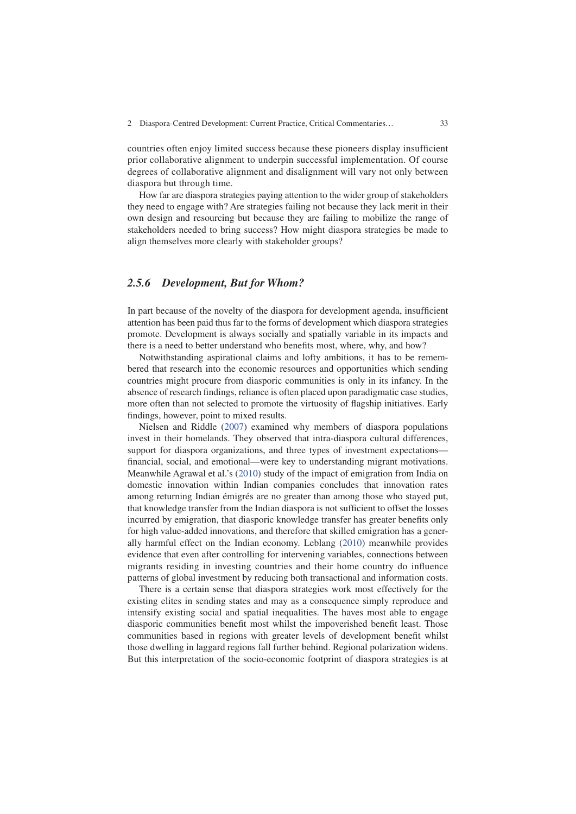countries often enjoy limited success because these pioneers display insufficient prior collaborative alignment to underpin successful implementation. Of course degrees of collaborative alignment and disalignment will vary not only between diaspora but through time.

 How far are diaspora strategies paying attention to the wider group of stakeholders they need to engage with? Are strategies failing not because they lack merit in their own design and resourcing but because they are failing to mobilize the range of stakeholders needed to bring success? How might diaspora strategies be made to align themselves more clearly with stakeholder groups?

# *2.5.6 Development, But for Whom?*

In part because of the novelty of the diaspora for development agenda, insufficient attention has been paid thus far to the forms of development which diaspora strategies promote. Development is always socially and spatially variable in its impacts and there is a need to better understand who benefits most, where, why, and how?

 Notwithstanding aspirational claims and lofty ambitions, it has to be remembered that research into the economic resources and opportunities which sending countries might procure from diasporic communities is only in its infancy. In the absence of research findings, reliance is often placed upon paradigmatic case studies, more often than not selected to promote the virtuosity of flagship initiatives. Early findings, however, point to mixed results.

Nielsen and Riddle (2007) examined why members of diaspora populations invest in their homelands. They observed that intra-diaspora cultural differences, support for diaspora organizations, and three types of investment expectations financial, social, and emotional—were key to understanding migrant motivations. Meanwhile Agrawal et al.'s (2010) study of the impact of emigration from India on domestic innovation within Indian companies concludes that innovation rates among returning Indian émigrés are no greater than among those who stayed put, that knowledge transfer from the Indian diaspora is not sufficient to offset the losses incurred by emigration, that diasporic knowledge transfer has greater benefits only for high value-added innovations, and therefore that skilled emigration has a generally harmful effect on the Indian economy. Leblang ( 2010 ) meanwhile provides evidence that even after controlling for intervening variables, connections between migrants residing in investing countries and their home country do influence patterns of global investment by reducing both transactional and information costs.

 There is a certain sense that diaspora strategies work most effectively for the existing elites in sending states and may as a consequence simply reproduce and intensify existing social and spatial inequalities. The haves most able to engage diasporic communities benefit most whilst the impoverished benefit least. Those communities based in regions with greater levels of development benefit whilst those dwelling in laggard regions fall further behind. Regional polarization widens. But this interpretation of the socio-economic footprint of diaspora strategies is at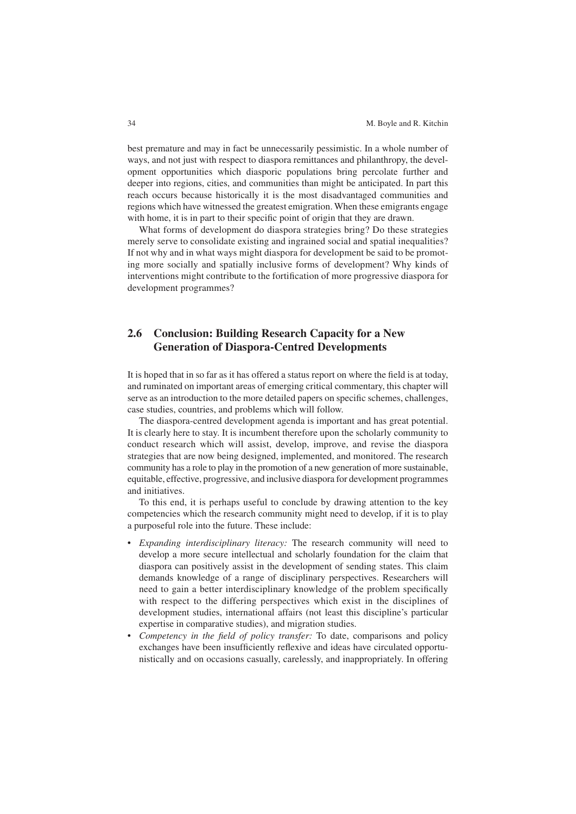best premature and may in fact be unnecessarily pessimistic. In a whole number of ways, and not just with respect to diaspora remittances and philanthropy, the development opportunities which diasporic populations bring percolate further and deeper into regions, cities, and communities than might be anticipated. In part this reach occurs because historically it is the most disadvantaged communities and regions which have witnessed the greatest emigration. When these emigrants engage with home, it is in part to their specific point of origin that they are drawn.

 What forms of development do diaspora strategies bring? Do these strategies merely serve to consolidate existing and ingrained social and spatial inequalities? If not why and in what ways might diaspora for development be said to be promoting more socially and spatially inclusive forms of development? Why kinds of interventions might contribute to the fortification of more progressive diaspora for development programmes?

# **2.6 Conclusion: Building Research Capacity for a New Generation of Diaspora-Centred Developments**

It is hoped that in so far as it has offered a status report on where the field is at today, and ruminated on important areas of emerging critical commentary, this chapter will serve as an introduction to the more detailed papers on specific schemes, challenges, case studies, countries, and problems which will follow.

 The diaspora-centred development agenda is important and has great potential. It is clearly here to stay. It is incumbent therefore upon the scholarly community to conduct research which will assist, develop, improve, and revise the diaspora strategies that are now being designed, implemented, and monitored. The research community has a role to play in the promotion of a new generation of more sustainable, equitable, effective, progressive, and inclusive diaspora for development programmes and initiatives.

 To this end, it is perhaps useful to conclude by drawing attention to the key competencies which the research community might need to develop, if it is to play a purposeful role into the future. These include:

- *Expanding interdisciplinary literacy:* The research community will need to develop a more secure intellectual and scholarly foundation for the claim that diaspora can positively assist in the development of sending states. This claim demands knowledge of a range of disciplinary perspectives. Researchers will need to gain a better interdisciplinary knowledge of the problem specifically with respect to the differing perspectives which exist in the disciplines of development studies, international affairs (not least this discipline's particular expertise in comparative studies), and migration studies.
- *Competency in the field of policy transfer:* To date, comparisons and policy exchanges have been insufficiently reflexive and ideas have circulated opportunistically and on occasions casually, carelessly, and inappropriately. In offering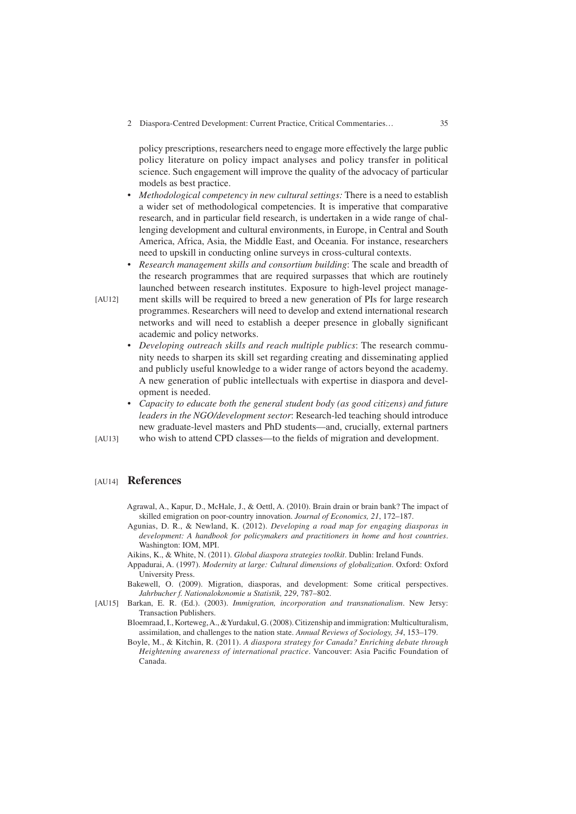policy prescriptions, researchers need to engage more effectively the large public policy literature on policy impact analyses and policy transfer in political science. Such engagement will improve the quality of the advocacy of particular models as best practice.

- *Methodological competency in new cultural settings:* There is a need to establish a wider set of methodological competencies. It is imperative that comparative research, and in particular field research, is undertaken in a wide range of challenging development and cultural environments, in Europe, in Central and South America, Africa, Asia, the Middle East, and Oceania. For instance, researchers need to upskill in conducting online surveys in cross-cultural contexts.
- *Research management skills and consortium building*: The scale and breadth of the research programmes that are required surpasses that which are routinely launched between research institutes. Exposure to high-level project manage-
- ment skills will be required to breed a new generation of PIs for large research programmes. Researchers will need to develop and extend international research networks and will need to establish a deeper presence in globally significant academic and policy networks. [AU12]
	- *Developing outreach skills and reach multiple publics*: The research community needs to sharpen its skill set regarding creating and disseminating applied and publicly useful knowledge to a wider range of actors beyond the academy. A new generation of public intellectuals with expertise in diaspora and development is needed.
	- *Capacity to educate both the general student body (as good citizens) and future leaders in the NGO/development sector*: Research-led teaching should introduce new graduate-level masters and PhD students—and, crucially, external partners
- who wish to attend CPD classes—to the fields of migration and development. [AU13]

# **References**  [AU14]

- Agrawal, A., Kapur, D., McHale, J., & Oettl, A. (2010). Brain drain or brain bank? The impact of skilled emigration on poor-country innovation. *Journal of Economics, 21* , 172–187.
- Agunias, D. R., & Newland, K. (2012). *Developing a road map for engaging diasporas in development: A handbook for policymakers and practitioners in home and host countries* . Washington: IOM, MPI.
- Aikins, K., & White, N. (2011). *Global diaspora strategies toolkit* . Dublin: Ireland Funds.
- Appadurai, A. (1997). *Modernity at large: Cultural dimensions of globalization*. Oxford: Oxford University Press.
- Bakewell, O. (2009). Migration, diasporas, and development: Some critical perspectives. *Jahrbucher f. Nationalokonomie u Statistik, 229* , 787–802.
- [AU15] Barkan, E. R. (Ed.). (2003). *Immigration, incorporation and transnationalism*. New Jersy: Transaction Publishers.
	- Bloemraad, I., Korteweg, A., & Yurdakul, G. (2008). Citizenship and immigration: Multiculturalism, assimilation, and challenges to the nation state. *Annual Reviews of Sociology, 34* , 153–179.
	- Boyle, M., & Kitchin, R. (2011). *A diaspora strategy for Canada? Enriching debate through Heightening awareness of international practice*. Vancouver: Asia Pacific Foundation of Canada.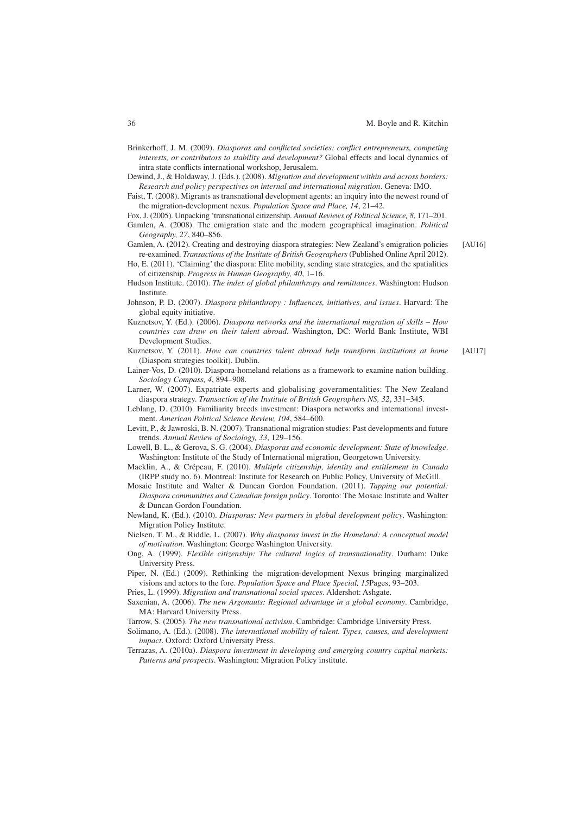#### M. Boyle and R. Kitchin

- Brinkerhoff, J. M. (2009). *Diasporas and conflicted societies: conflict entrepreneurs, competing interests, or contributors to stability and development?* Global effects and local dynamics of intra state conflicts international workshop, Jerusalem.
- Dewind, J., & Holdaway, J. (Eds.). (2008). *Migration and development within and across borders: Research and policy perspectives on internal and international migration* . Geneva: IMO.
- Faist, T. (2008). Migrants as transnational development agents: an inquiry into the newest round of the migration-development nexus. *Population Space and Place, 14* , 21–42.
- Fox, J. (2005). Unpacking 'transnational citizenship. *Annual Reviews of Political Science, 8* , 171–201. Gamlen, A. (2008). The emigration state and the modern geographical imagination. *Political*
- *Geography, 27* , 840–856. Gamlen, A. (2012). Creating and destroying diaspora strategies: New Zealand's emigration policies re-examined. *Transactions of the Institute of British Geographers* (Published Online April 2012). [AU16]

- Ho, E. (2011). 'Claiming' the diaspora: Elite mobility, sending state strategies, and the spatialities of citizenship. *Progress in Human Geography, 40* , 1–16.
- Hudson Institute. (2010). *The index of global philanthropy and remittances* . Washington: Hudson Institute.
- Johnson, P. D. (2007). *Diaspora philanthropy : Influences, initiatives, and issues*. Harvard: The global equity initiative.
- Kuznetsov, Y. (Ed.). (2006). *Diaspora networks and the international migration of skills How countries can draw on their talent abroad* . Washington, DC: World Bank Institute, WBI Development Studies.
- Kuznetsov, Y. (2011). *How can countries talent abroad help transform institutions at home* (Diaspora strategies toolkit). Dublin. [AU17]
- Lainer-Vos, D. (2010). Diaspora-homeland relations as a framework to examine nation building. *Sociology Compass, 4* , 894–908.
- Larner, W. (2007). Expatriate experts and globalising governmentalities: The New Zealand diaspora strategy. *Transaction of the Institute of British Geographers NS, 32* , 331–345.
- Leblang, D. (2010). Familiarity breeds investment: Diaspora networks and international investment. *American Political Science Review, 104* , 584–600.
- Levitt, P., & Jawroski, B. N. (2007). Transnational migration studies: Past developments and future trends. *Annual Review of Sociology, 33* , 129–156.
- Lowell, B. L., & Gerova, S. G. (2004). *Diasporas and economic development: State of knowledge* . Washington: Institute of the Study of International migration, Georgetown University.
- Macklin, A., & Crépeau, F. (2010). *Multiple citizenship, identity and entitlement in Canada* (IRPP study no. 6). Montreal: Institute for Research on Public Policy, University of McGill.
- Mosaic Institute and Walter & Duncan Gordon Foundation. (2011). *Tapping our potential: Diaspora communities and Canadian foreign policy* . Toronto: The Mosaic Institute and Walter & Duncan Gordon Foundation.
- Newland, K. (Ed.). (2010). *Diasporas: New partners in global development policy* . Washington: Migration Policy Institute.
- Nielsen, T. M., & Riddle, L. (2007). *Why diasporas invest in the Homeland: A conceptual model of motivation* . Washington: George Washington University.
- Ong, A. (1999). *Flexible citizenship: The cultural logics of transnationality* . Durham: Duke University Press.
- Piper, N. (Ed.) (2009). Rethinking the migration-development Nexus bringing marginalized visions and actors to the fore. *Population Space and Place Special, 15* Pages, 93–203.
- Pries, L. (1999). *Migration and transnational social spaces* . Aldershot: Ashgate.
- Saxenian, A. (2006). *The new Argonauts: Regional advantage in a global economy* . Cambridge, MA: Harvard University Press.
- Tarrow, S. (2005). *The new transnational activism* . Cambridge: Cambridge University Press.
- Solimano, A. (Ed.). (2008). *The international mobility of talent. Types, causes, and development impact* . Oxford: Oxford University Press.
- Terrazas, A. (2010a). *Diaspora investment in developing and emerging country capital markets: Patterns and prospects* . Washington: Migration Policy institute.